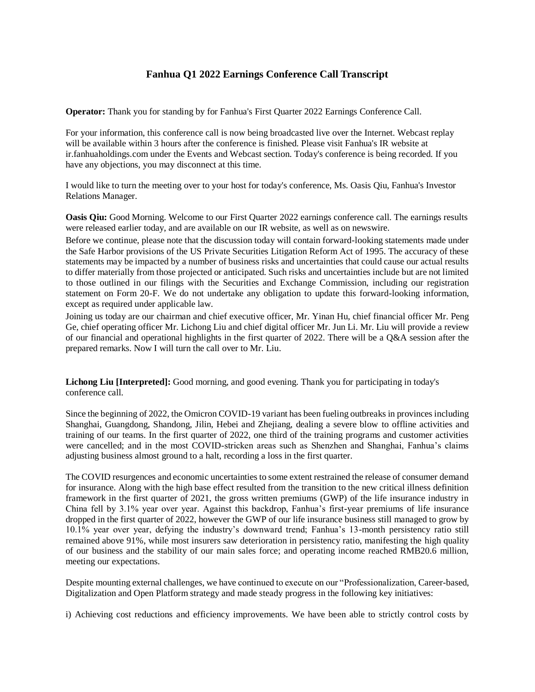## **Fanhua Q1 2022 Earnings Conference Call Transcript**

**Operator:** Thank you for standing by for Fanhua's First Quarter 2022 Earnings Conference Call.

For your information, this conference call is now being broadcasted live over the Internet. Webcast replay will be available within 3 hours after the conference is finished. Please visit Fanhua's IR website at ir.fanhuaholdings.com under the Events and Webcast section. Today's conference is being recorded. If you have any objections, you may disconnect at this time.

I would like to turn the meeting over to your host for today's conference, Ms. Oasis Qiu, Fanhua's Investor Relations Manager.

**Oasis Qiu:** Good Morning. Welcome to our First Quarter 2022 earnings conference call. The earnings results were released earlier today, and are available on our IR website, as well as on newswire.

Before we continue, please note that the discussion today will contain forward-looking statements made under the Safe Harbor provisions of the US Private Securities Litigation Reform Act of 1995. The accuracy of these statements may be impacted by a number of business risks and uncertainties that could cause our actual results to differ materially from those projected or anticipated. Such risks and uncertainties include but are not limited to those outlined in our filings with the Securities and Exchange Commission, including our registration statement on Form 20-F. We do not undertake any obligation to update this forward-looking information, except as required under applicable law.

Joining us today are our chairman and chief executive officer, Mr. Yinan Hu, chief financial officer Mr. Peng Ge, chief operating officer Mr. Lichong Liu and chief digital officer Mr. Jun Li. Mr. Liu will provide a review of our financial and operational highlights in the first quarter of 2022. There will be a Q&A session after the prepared remarks. Now I will turn the call over to Mr. Liu.

**Lichong Liu [Interpreted]:** Good morning, and good evening. Thank you for participating in today's conference call.

Since the beginning of 2022, the Omicron COVID-19 variant has been fueling outbreaks in provinces including Shanghai, Guangdong, Shandong, Jilin, Hebei and Zhejiang, dealing a severe blow to offline activities and training of our teams. In the first quarter of 2022, one third of the training programs and customer activities were cancelled; and in the most COVID-stricken areas such as Shenzhen and Shanghai, Fanhua's claims adjusting business almost ground to a halt, recording a loss in the first quarter.

The COVID resurgences and economic uncertainties to some extent restrained the release of consumer demand for insurance. Along with the high base effect resulted from the transition to the new critical illness definition framework in the first quarter of 2021, the gross written premiums (GWP) of the life insurance industry in China fell by 3.1% year over year. Against this backdrop, Fanhua's first-year premiums of life insurance dropped in the first quarter of 2022, however the GWP of our life insurance business still managed to grow by 10.1% year over year, defying the industry's downward trend; Fanhua's 13-month persistency ratio still remained above 91%, while most insurers saw deterioration in persistency ratio, manifesting the high quality of our business and the stability of our main sales force; and operating income reached RMB20.6 million, meeting our expectations.

Despite mounting external challenges, we have continued to execute on our "Professionalization, Career-based, Digitalization and Open Platform strategy and made steady progress in the following key initiatives:

i) Achieving cost reductions and efficiency improvements. We have been able to strictly control costs by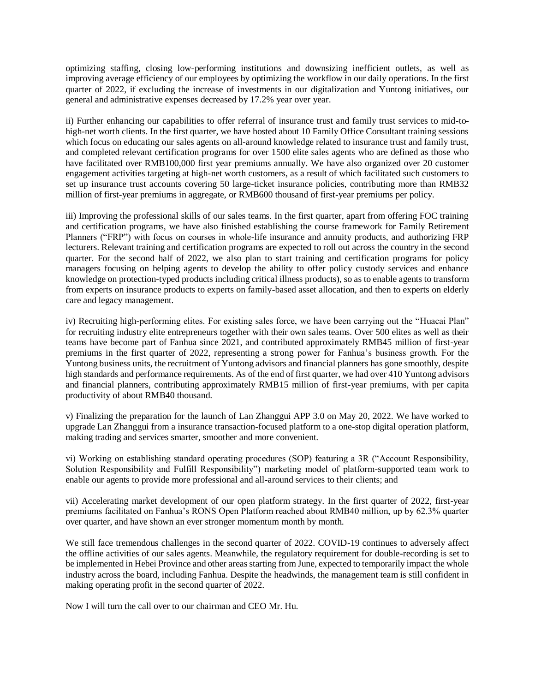optimizing staffing, closing low-performing institutions and downsizing inefficient outlets, as well as improving average efficiency of our employees by optimizing the workflow in our daily operations. In the first quarter of 2022, if excluding the increase of investments in our digitalization and Yuntong initiatives, our general and administrative expenses decreased by 17.2% year over year.

ii) Further enhancing our capabilities to offer referral of insurance trust and family trust services to mid-tohigh-net worth clients. In the first quarter, we have hosted about 10 Family Office Consultant training sessions which focus on educating our sales agents on all-around knowledge related to insurance trust and family trust, and completed relevant certification programs for over 1500 elite sales agents who are defined as those who have facilitated over RMB100,000 first year premiums annually. We have also organized over 20 customer engagement activities targeting at high-net worth customers, as a result of which facilitated such customers to set up insurance trust accounts covering 50 large-ticket insurance policies, contributing more than RMB32 million of first-year premiums in aggregate, or RMB600 thousand of first-year premiums per policy.

iii) Improving the professional skills of our sales teams. In the first quarter, apart from offering FOC training and certification programs, we have also finished establishing the course framework for Family Retirement Planners ("FRP") with focus on courses in whole-life insurance and annuity products, and authorizing FRP lecturers. Relevant training and certification programs are expected to roll out across the country in the second quarter. For the second half of 2022, we also plan to start training and certification programs for policy managers focusing on helping agents to develop the ability to offer policy custody services and enhance knowledge on protection-typed products including critical illness products), so as to enable agents to transform from experts on insurance products to experts on family-based asset allocation, and then to experts on elderly care and legacy management.

iv) Recruiting high-performing elites. For existing sales force, we have been carrying out the "Huacai Plan" for recruiting industry elite entrepreneurs together with their own sales teams. Over 500 elites as well as their teams have become part of Fanhua since 2021, and contributed approximately RMB45 million of first-year premiums in the first quarter of 2022, representing a strong power for Fanhua's business growth. For the Yuntong business units, the recruitment of Yuntong advisors and financial planners has gone smoothly, despite high standards and performance requirements. As of the end of first quarter, we had over 410 Yuntong advisors and financial planners, contributing approximately RMB15 million of first-year premiums, with per capita productivity of about RMB40 thousand.

v) Finalizing the preparation for the launch of Lan Zhanggui APP 3.0 on May 20, 2022. We have worked to upgrade Lan Zhanggui from a insurance transaction-focused platform to a one-stop digital operation platform, making trading and services smarter, smoother and more convenient.

vi) Working on establishing standard operating procedures (SOP) featuring a 3R ("Account Responsibility, Solution Responsibility and Fulfill Responsibility") marketing model of platform-supported team work to enable our agents to provide more professional and all-around services to their clients; and

vii) Accelerating market development of our open platform strategy. In the first quarter of 2022, first-year premiums facilitated on Fanhua's RONS Open Platform reached about RMB40 million, up by 62.3% quarter over quarter, and have shown an ever stronger momentum month by month.

We still face tremendous challenges in the second quarter of 2022. COVID-19 continues to adversely affect the offline activities of our sales agents. Meanwhile, the regulatory requirement for double-recording is set to be implemented in Hebei Province and other areas starting from June, expected to temporarily impact the whole industry across the board, including Fanhua. Despite the headwinds, the management team is still confident in making operating profit in the second quarter of 2022.

Now I will turn the call over to our chairman and CEO Mr. Hu.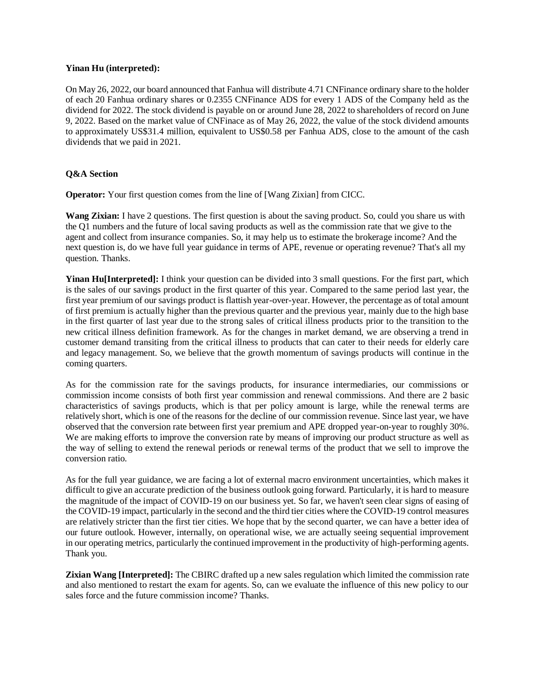## **Yinan Hu (interpreted):**

On May 26, 2022, our board announced that Fanhua will distribute 4.71 CNFinance ordinary share to the holder of each 20 Fanhua ordinary shares or 0.2355 CNFinance ADS for every 1 ADS of the Company held as the dividend for 2022. The stock dividend is payable on or around June 28, 2022 to shareholders of record on June 9, 2022. Based on the market value of CNFinace as of May 26, 2022, the value of the stock dividend amounts to approximately US\$31.4 million, equivalent to US\$0.58 per Fanhua ADS, close to the amount of the cash dividends that we paid in 2021.

## **Q&A Section**

**Operator:** Your first question comes from the line of [Wang Zixian] from CICC.

**Wang Zixian:** I have 2 questions. The first question is about the saving product. So, could you share us with the Q1 numbers and the future of local saving products as well as the commission rate that we give to the agent and collect from insurance companies. So, it may help us to estimate the brokerage income? And the next question is, do we have full year guidance in terms of APE, revenue or operating revenue? That's all my question. Thanks.

**Yinan Hu**[Interpreted]: I think your question can be divided into 3 small questions. For the first part, which is the sales of our savings product in the first quarter of this year. Compared to the same period last year, the first year premium of our savings product is flattish year-over-year. However, the percentage as of total amount of first premium is actually higher than the previous quarter and the previous year, mainly due to the high base in the first quarter of last year due to the strong sales of critical illness products prior to the transition to the new critical illness definition framework. As for the changes in market demand, we are observing a trend in customer demand transiting from the critical illness to products that can cater to their needs for elderly care and legacy management. So, we believe that the growth momentum of savings products will continue in the coming quarters.

As for the commission rate for the savings products, for insurance intermediaries, our commissions or commission income consists of both first year commission and renewal commissions. And there are 2 basic characteristics of savings products, which is that per policy amount is large, while the renewal terms are relatively short, which is one of the reasons for the decline of our commission revenue. Since last year, we have observed that the conversion rate between first year premium and APE dropped year-on-year to roughly 30%. We are making efforts to improve the conversion rate by means of improving our product structure as well as the way of selling to extend the renewal periods or renewal terms of the product that we sell to improve the conversion ratio.

As for the full year guidance, we are facing a lot of external macro environment uncertainties, which makes it difficult to give an accurate prediction of the business outlook going forward. Particularly, it is hard to measure the magnitude of the impact of COVID-19 on our business yet. So far, we haven't seen clear signs of easing of the COVID-19 impact, particularly in the second and the third tier cities where the COVID-19 control measures are relatively stricter than the first tier cities. We hope that by the second quarter, we can have a better idea of our future outlook. However, internally, on operational wise, we are actually seeing sequential improvement in our operating metrics, particularly the continued improvement in the productivity of high-performing agents. Thank you.

**Zixian Wang [Interpreted]:** The CBIRC drafted up a new sales regulation which limited the commission rate and also mentioned to restart the exam for agents. So, can we evaluate the influence of this new policy to our sales force and the future commission income? Thanks.